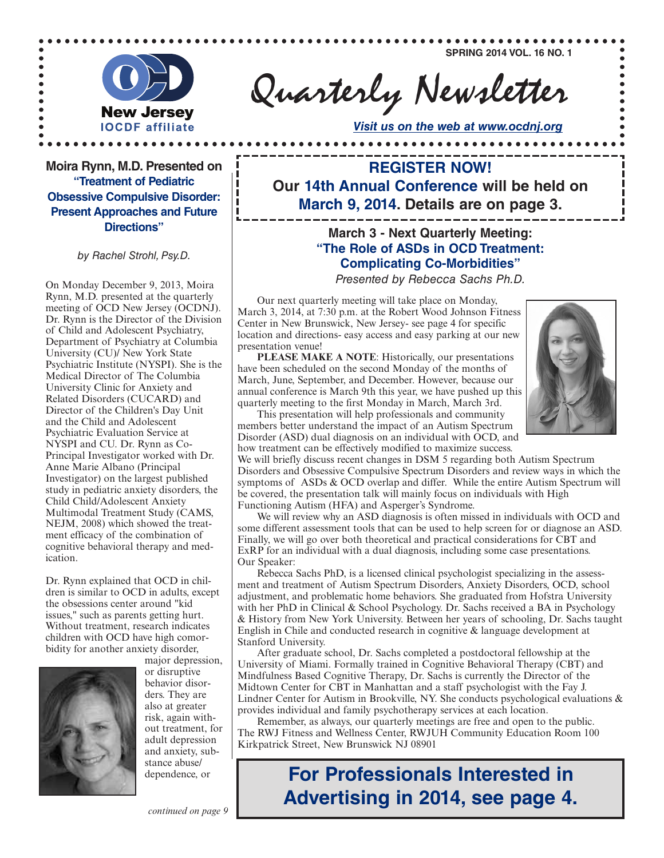**SPRING 2014 VOL. 16 NO. 1**

 $............$ 



Quarterly Newsletter

*Visit us on the web at www.ocdnj.org*

**Moira Rynn, M.D. Presented on "Treatment of Pediatric Obsessive Compulsive Disorder: Present Approaches and Future Directions"**

*by Rachel Strohl, Psy.D.*

Rynn, M.D. presented at the quarterly meeting of OCD New Jersey (OCDNJ). Dr. Rynn is the Director of the Division of Child and Adolescent Psychiatry, Department of Psychiatry at Columbia University (CU)/ New York State Psychiatric Institute (NYSPI). She is the Medical Director of The Columbia University Clinic for Anxiety and Related Disorders (CUCARD) and Director of the Children's Day Unit and the Child and Adolescent Psychiatric Evaluation Service at NYSPI and CU. Dr. Rynn as Co-Principal Investigator worked with Dr. Anne Marie Albano (Principal Investigator) on the largest published study in pediatric anxiety disorders, the Child Child/Adolescent Anxiety Multimodal Treatment Study (CAMS, NEJM, 2008) which showed the treatment efficacy of the combination of cognitive behavioral therapy and medication.

Dr. Rynn explained that OCD in children is similar to OCD in adults, except the obsessions center around "kid issues," such as parents getting hurt. Without treatment, research indicates children with OCD have high comorbidity for another anxiety disorder,



major depression, or disruptive behavior disorders. They are also at greater risk, again without treatment, for adult depression and anxiety, substance abuse/ dependence, or

**REGISTER NOW! Our 14th Annual Conference will be held on March 9, 2014. Details are on page 3.**

. . . . . . . . . . . . . .

## **March 3 - Next Quarterly Meeting: "The Role of ASDs in OCD Treatment: Complicating Co-Morbidities"**

**Presented by Rebecca Sachs Ph.D.** Presented *Presented by Rebecca Sachs Ph.D.* 

Our next quarterly meeting will take place on Monday, March 3, 2014, at 7:30 p.m. at the Robert Wood Johnson Fitness Center in New Brunswick, New Jersey- see page 4 for specific location and directions- easy access and easy parking at our new presentation venue!

**PLEASE MAKE A NOTE**: Historically, our presentations have been scheduled on the second Monday of the months of March, June, September, and December. However, because our annual conference is March 9th this year, we have pushed up this quarterly meeting to the first Monday in March, March 3rd.



This presentation will help professionals and community members better understand the impact of an Autism Spectrum Disorder (ASD) dual diagnosis on an individual with OCD, and how treatment can be effectively modified to maximize success.

We will briefly discuss recent changes in DSM 5 regarding both Autism Spectrum Disorders and Obsessive Compulsive Spectrum Disorders and review ways in which the symptoms of ASDs & OCD overlap and differ. While the entire Autism Spectrum will be covered, the presentation talk will mainly focus on individuals with High Functioning Autism (HFA) and Asperger's Syndrome.

We will review why an ASD diagnosis is often missed in individuals with OCD and some different assessment tools that can be used to help screen for or diagnose an ASD. Finally, we will go over both theoretical and practical considerations for CBT and ExRP for an individual with a dual diagnosis, including some case presentations. Our Speaker:

Rebecca Sachs PhD, is a licensed clinical psychologist specializing in the assessment and treatment of Autism Spectrum Disorders, Anxiety Disorders, OCD, school adjustment, and problematic home behaviors. She graduated from Hofstra University with her PhD in Clinical & School Psychology. Dr. Sachs received a BA in Psychology & History from New York University. Between her years of schooling, Dr. Sachs taught English in Chile and conducted research in cognitive & language development at Stanford University.

After graduate school, Dr. Sachs completed a postdoctoral fellowship at the University of Miami. Formally trained in Cognitive Behavioral Therapy (CBT) and Mindfulness Based Cognitive Therapy, Dr. Sachs is currently the Director of the Midtown Center for CBT in Manhattan and a staff psychologist with the Fay J. Lindner Center for Autism in Brookville, NY. She conducts psychological evaluations  $\&$ provides individual and family psychotherapy services at each location.

Remember, as always, our quarterly meetings are free and open to the public. The RWJ Fitness and Wellness Center, RWJUH Community Education Room 100 Kirkpatrick Street, New Brunswick NJ 08901

# **For Professionals Interested in Advertising in 2014, see page 4.**

*continued on page 9*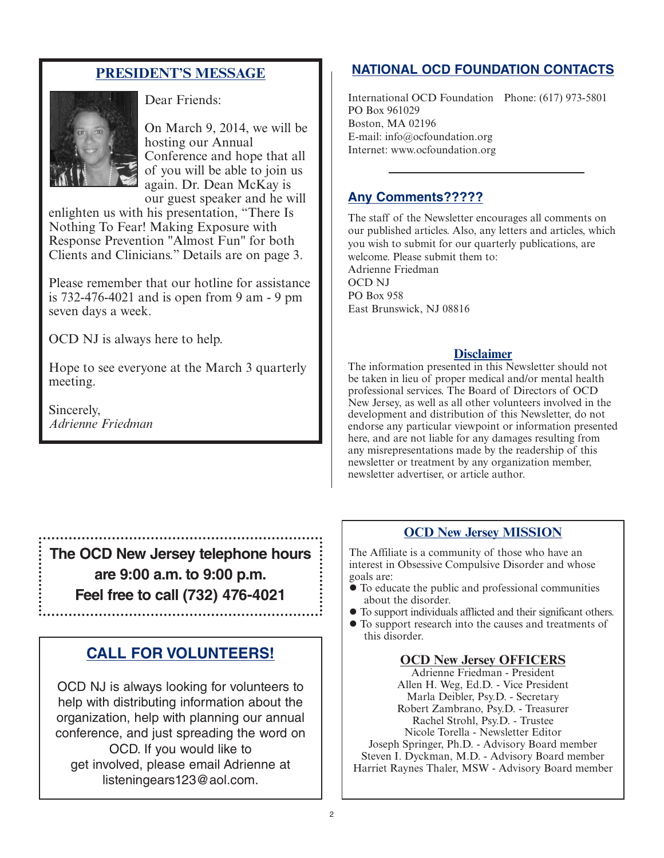# **PRESIDENT'S MESSAGE**



Dear Friends:

On March 9, 2014, we will be hosting our Annual Conference and hope that all of you will be able to join us again. Dr. Dean McKay is our guest speaker and he will

enlighten us with his presentation, "There Is Nothing To Fear! Making Exposure with Response Prevention "Almost Fun" for both Clients and Clinicians." Details are on page 3.

Please remember that our hotline for assistance is 732-476-4021 and is open from 9 am - 9 pm seven days a week.

OCD NJ is always here to help.

Hope to see everyone at the March 3 quarterly meeting.

Sincerely, *Adrienne Friedman*

**The OCD New Jersey telephone hours are 9:00 a.m. to 9:00 p.m. Feel free to call (732) 476-4021**

# **CALL FOR VOLUNTEERS!**

OCD NJ is always looking for volunteers to help with distributing information about the organization, help with planning our annual conference, and just spreading the word on OCD. If you would like to get involved, please email Adrienne at listeningears123@aol.com.

# **NATIONAL OCD FOUNDATION CONTACTS**

International OCD Foundation Phone: (617) 973-5801 PO Box 961029 Boston, MA 02196 E-mail: info@ocfoundation.org Internet: www.ocfoundation.org

## **Any Comments?????**

The staff of the Newsletter encourages all comments on our published articles. Also, any letters and articles, which you wish to submit for our quarterly publications, are welcome. Please submit them to: Adrienne Friedman OCD NJ PO Box 958 East Brunswick, NJ 08816

#### **Disclaimer**

The information presented in this Newsletter should not be taken in lieu of proper medical and/or mental health professional services. The Board of Directors of OCD New Jersey, as well as all other volunteers involved in the development and distribution of this Newsletter, do not endorse any particular viewpoint or information presented here, and are not liable for any damages resulting from any misrepresentations made by the readership of this newsletter or treatment by any organization member, newsletter advertiser, or article author.

## **OCD New Jersey MISSION**

The Affiliate is a community of those who have an interest in Obsessive Compulsive Disorder and whose goals are:

- To educate the public and professional communities about the disorder.
- To support individuals afflicted and their significant others.
- To support research into the causes and treatments of this disorder.

#### **OCD New Jersey OFFICERS**

Adrienne Friedman - President Allen H. Weg, Ed.D. - Vice President Marla Deibler, Psy.D. - Secretary Robert Zambrano, Psy.D. - Treasurer Rachel Strohl, Psy.D. - Trustee Nicole Torella - Newsletter Editor Joseph Springer, Ph.D. - Advisory Board member Steven I. Dyckman, M.D. - Advisory Board member Harriet Raynes Thaler, MSW - Advisory Board member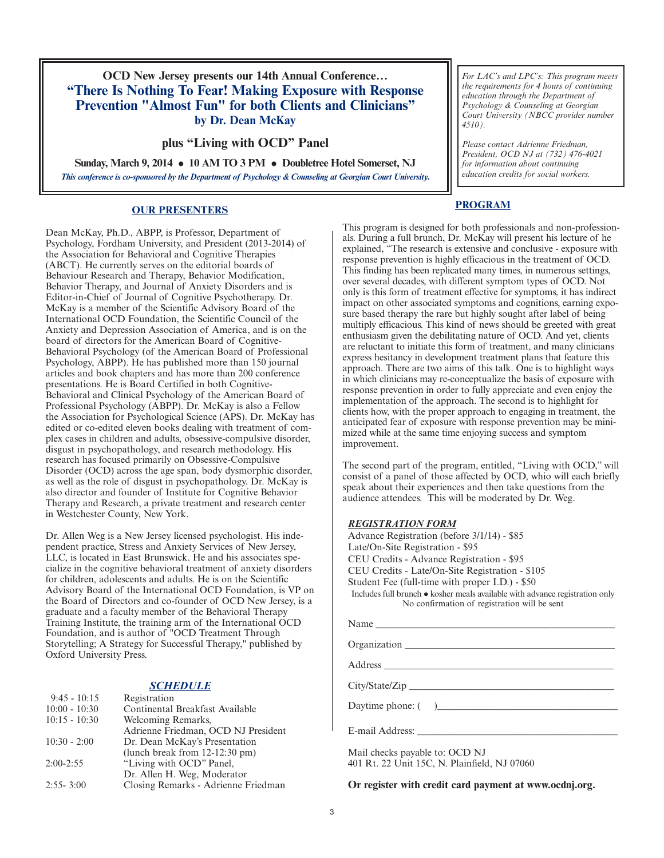**OCD New Jersey presents our 14th Annual Conference… "There Is Nothing To Fear! Making Exposure with Response Prevention "Almost Fun" for both Clients and Clinicians" by Dr. Dean McKay**

#### **plus "Living with OCD" Panel**

**Sunday, March 9, 2014 10 AM TO 3 PM Doubletree Hotel Somerset, NJ** *This conference is co-sponsored by the Department of Psychology & Counseling at Georgian Court University.*

#### **OUR PRESENTERS**

Dean McKay, Ph.D., ABPP, is Professor, Department of Psychology, Fordham University, and President (2013-2014) of the Association for Behavioral and Cognitive Therapies (ABCT). He currently serves on the editorial boards of Behaviour Research and Therapy, Behavior Modification, Behavior Therapy, and Journal of Anxiety Disorders and is Editor-in-Chief of Journal of Cognitive Psychotherapy. Dr. McKay is a member of the Scientific Advisory Board of the International OCD Foundation, the Scientific Council of the Anxiety and Depression Association of America, and is on the board of directors for the American Board of Cognitive-Behavioral Psychology (of the American Board of Professional Psychology, ABPP). He has published more than 150 journal articles and book chapters and has more than 200 conference presentations. He is Board Certified in both Cognitive-Behavioral and Clinical Psychology of the American Board of Professional Psychology (ABPP). Dr. McKay is also a Fellow the Association for Psychological Science (APS). Dr. McKay has edited or co-edited eleven books dealing with treatment of complex cases in children and adults, obsessive-compulsive disorder, disgust in psychopathology, and research methodology. His research has focused primarily on Obsessive-Compulsive Disorder (OCD) across the age span, body dysmorphic disorder, as well as the role of disgust in psychopathology. Dr. McKay is also director and founder of Institute for Cognitive Behavior Therapy and Research, a private treatment and research center in Westchester County, New York.

Dr. Allen Weg is a New Jersey licensed psychologist. His independent practice, Stress and Anxiety Services of New Jersey, LLC, is located in East Brunswick. He and his associates specialize in the cognitive behavioral treatment of anxiety disorders for children, adolescents and adults. He is on the Scientific Advisory Board of the International OCD Foundation, is VP on the Board of Directors and co-founder of OCD New Jersey, is a graduate and a faculty member of the Behavioral Therapy Training Institute, the training arm of the International OCD Foundation, and is author of "OCD Treatment Through Storytelling; A Strategy for Successful Therapy," published by Oxford University Press.

#### *SCHEDULE*

| Registration                              |
|-------------------------------------------|
| Continental Breakfast Available           |
| Welcoming Remarks,                        |
| Adrienne Friedman, OCD NJ President       |
| Dr. Dean McKay's Presentation             |
| (lunch break from $12-12:30 \text{ pm}$ ) |
| "Living with OCD" Panel,                  |
| Dr. Allen H. Weg, Moderator               |
| Closing Remarks - Adrienne Friedman       |
|                                           |

*For LAC's and LPC's: This program meets the requirements for 4 hours of continuing education through the Department of Psychology & Counseling at Georgian Court University (NBCC provider number 4510).*

*Please contact Adrienne Friedman, President, OCD NJ at (732) 476-4021 for information about continuing education credits for social workers.*

#### **PROGRAM**

This program is designed for both professionals and non-professionals. During a full brunch, Dr. McKay will present his lecture of he explained, "The research is extensive and conclusive - exposure with response prevention is highly efficacious in the treatment of OCD. This finding has been replicated many times, in numerous settings, over several decades, with different symptom types of OCD. Not only is this form of treatment effective for symptoms, it has indirect impact on other associated symptoms and cognitions, earning exposure based therapy the rare but highly sought after label of being multiply efficacious. This kind of news should be greeted with great enthusiasm given the debilitating nature of OCD. And yet, clients are reluctant to initiate this form of treatment, and many clinicians express hesitancy in development treatment plans that feature this approach. There are two aims of this talk. One is to highlight ways in which clinicians may re-conceptualize the basis of exposure with response prevention in order to fully appreciate and even enjoy the implementation of the approach. The second is to highlight for clients how, with the proper approach to engaging in treatment, the anticipated fear of exposure with response prevention may be minimized while at the same time enjoying success and symptom improvement.

The second part of the program, entitled, "Living with OCD," will consist of a panel of those affected by OCD, whio will each briefly speak about their experiences and then take questions from the audience attendees. This will be moderated by Dr. Weg.

#### *REGISTRATION FORM*

Advance Registration (before 3/1/14) - \$85 Late/On-Site Registration - \$95 CEU Credits - Advance Registration - \$95 CEU Credits - Late/On-Site Registration - \$105 Student Fee (full-time with proper I.D.) - \$50 Includes full brunch  $\bullet$  kosher meals available with advance registration only No confirmation of registration will be sent Name

Organization \_\_\_\_\_\_\_\_\_\_\_\_\_\_\_\_\_\_\_\_\_\_\_\_\_\_\_\_\_\_\_\_\_\_\_\_\_\_\_\_\_\_\_

Address \_\_\_\_\_\_\_\_\_\_\_\_\_\_\_\_\_\_\_\_\_\_\_\_\_\_\_\_\_\_\_\_\_\_\_\_\_\_\_\_\_\_\_\_\_\_\_

City/State/Zip \_\_\_\_\_\_\_\_\_\_\_\_\_\_\_\_\_\_\_\_\_\_\_\_\_\_\_\_\_\_\_\_\_\_\_\_\_\_\_\_\_\_

Daytime phone:  $($ 

E-mail Address:

Mail checks payable to: OCD NJ 401 Rt. 22 Unit 15C, N. Plainfield, NJ 07060

**Or register with credit card payment at www.ocdnj.org.**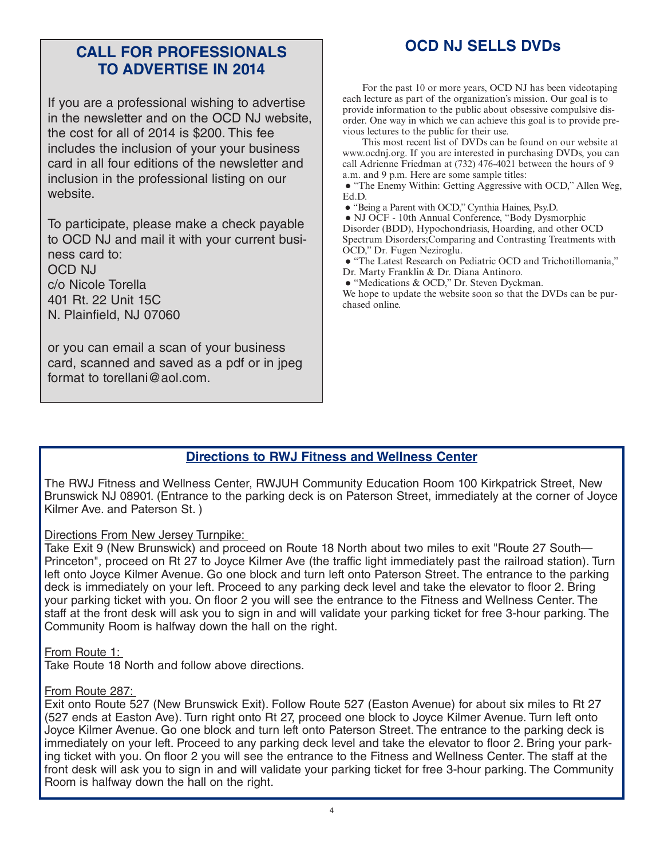# **OCD NJ SELLS DVDs CALL FOR PROFESSIONALS TO ADVERTISE IN 2014**

If you are a professional wishing to advertise in the newsletter and on the OCD NJ website, the cost for all of 2014 is \$200. This fee includes the inclusion of your your business card in all four editions of the newsletter and inclusion in the professional listing on our website.

To participate, please make a check payable to OCD NJ and mail it with your current business card to: OCD NJ c/o Nicole Torella 401 Rt. 22 Unit 15C N. Plainfield, NJ 07060

or you can email a scan of your business card, scanned and saved as a pdf or in jpeg format to torellani@aol.com.

For the past 10 or more years, OCD NJ has been videotaping each lecture as part of the organization's mission. Our goal is to provide information to the public about obsessive compulsive disorder. One way in which we can achieve this goal is to provide previous lectures to the public for their use.

This most recent list of DVDs can be found on our website at www.ocdnj.org. If you are interested in purchasing DVDs, you can call Adrienne Friedman at (732) 476-4021 between the hours of 9 a.m. and 9 p.m. Here are some sample titles:

 "The Enemy Within: Getting Aggressive with OCD," Allen Weg, Ed.D.

"Being a Parent with OCD," Cynthia Haines, Psy.D.

 NJ OCF - 10th Annual Conference, "Body Dysmorphic Disorder (BDD), Hypochondriasis, Hoarding, and other OCD Spectrum Disorders;Comparing and Contrasting Treatments with OCD," Dr. Fugen Neziroglu.

"The Latest Research on Pediatric OCD and Trichotillomania,"

Dr. Marty Franklin & Dr. Diana Antinoro.

• "Medications & OCD," Dr. Steven Dyckman.

We hope to update the website soon so that the DVDs can be purchased online.

## **Directions to RWJ Fitness and Wellness Center**

The RWJ Fitness and Wellness Center, RWJUH Community Education Room 100 Kirkpatrick Street, New Brunswick NJ 08901. (Entrance to the parking deck is on Paterson Street, immediately at the corner of Joyce Kilmer Ave. and Paterson St. )

#### Directions From New Jersey Turnpike:

Take Exit 9 (New Brunswick) and proceed on Route 18 North about two miles to exit "Route 27 South— Princeton", proceed on Rt 27 to Joyce Kilmer Ave (the traffic light immediately past the railroad station). Turn left onto Joyce Kilmer Avenue. Go one block and turn left onto Paterson Street. The entrance to the parking deck is immediately on your left. Proceed to any parking deck level and take the elevator to floor 2. Bring your parking ticket with you. On floor 2 you will see the entrance to the Fitness and Wellness Center. The staff at the front desk will ask you to sign in and will validate your parking ticket for free 3-hour parking. The Community Room is halfway down the hall on the right.

#### From Route 1:

Take Route 18 North and follow above directions.

#### From Route 287:

Exit onto Route 527 (New Brunswick Exit). Follow Route 527 (Easton Avenue) for about six miles to Rt 27 (527 ends at Easton Ave). Turn right onto Rt 27, proceed one block to Joyce Kilmer Avenue. Turn left onto Joyce Kilmer Avenue. Go one block and turn left onto Paterson Street. The entrance to the parking deck is immediately on your left. Proceed to any parking deck level and take the elevator to floor 2. Bring your parking ticket with you. On floor 2 you will see the entrance to the Fitness and Wellness Center. The staff at the front desk will ask you to sign in and will validate your parking ticket for free 3-hour parking. The Community Room is halfway down the hall on the right.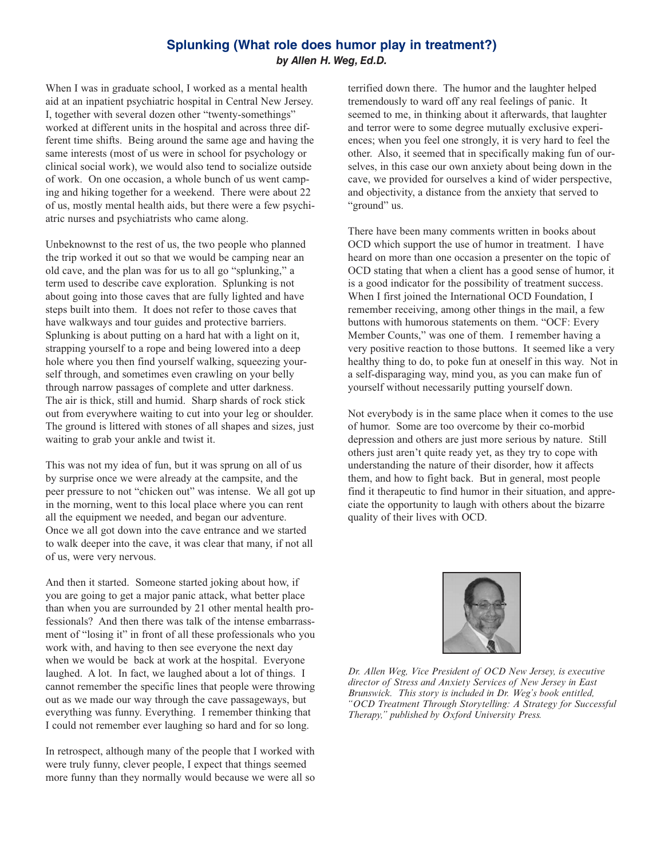#### **Splunking (What role does humor play in treatment?)** *by Allen H. Weg, Ed.D.*

When I was in graduate school, I worked as a mental health aid at an inpatient psychiatric hospital in Central New Jersey. I, together with several dozen other "twenty-somethings" worked at different units in the hospital and across three different time shifts. Being around the same age and having the same interests (most of us were in school for psychology or clinical social work), we would also tend to socialize outside of work. On one occasion, a whole bunch of us went camping and hiking together for a weekend. There were about 22 of us, mostly mental health aids, but there were a few psychiatric nurses and psychiatrists who came along.

Unbeknownst to the rest of us, the two people who planned the trip worked it out so that we would be camping near an old cave, and the plan was for us to all go "splunking," a term used to describe cave exploration. Splunking is not about going into those caves that are fully lighted and have steps built into them. It does not refer to those caves that have walkways and tour guides and protective barriers. Splunking is about putting on a hard hat with a light on it, strapping yourself to a rope and being lowered into a deep hole where you then find yourself walking, squeezing yourself through, and sometimes even crawling on your belly through narrow passages of complete and utter darkness. The air is thick, still and humid. Sharp shards of rock stick out from everywhere waiting to cut into your leg or shoulder. The ground is littered with stones of all shapes and sizes, just waiting to grab your ankle and twist it.

This was not my idea of fun, but it was sprung on all of us by surprise once we were already at the campsite, and the peer pressure to not "chicken out" was intense. We all got up in the morning, went to this local place where you can rent all the equipment we needed, and began our adventure. Once we all got down into the cave entrance and we started to walk deeper into the cave, it was clear that many, if not all of us, were very nervous.

And then it started. Someone started joking about how, if you are going to get a major panic attack, what better place than when you are surrounded by 21 other mental health professionals? And then there was talk of the intense embarrassment of "losing it" in front of all these professionals who you work with, and having to then see everyone the next day when we would be back at work at the hospital. Everyone laughed. A lot. In fact, we laughed about a lot of things. I cannot remember the specific lines that people were throwing out as we made our way through the cave passageways, but everything was funny. Everything. I remember thinking that I could not remember ever laughing so hard and for so long.

In retrospect, although many of the people that I worked with were truly funny, clever people, I expect that things seemed more funny than they normally would because we were all so terrified down there. The humor and the laughter helped tremendously to ward off any real feelings of panic. It seemed to me, in thinking about it afterwards, that laughter and terror were to some degree mutually exclusive experiences; when you feel one strongly, it is very hard to feel the other. Also, it seemed that in specifically making fun of ourselves, in this case our own anxiety about being down in the cave, we provided for ourselves a kind of wider perspective, and objectivity, a distance from the anxiety that served to "ground" us.

There have been many comments written in books about OCD which support the use of humor in treatment. I have heard on more than one occasion a presenter on the topic of OCD stating that when a client has a good sense of humor, it is a good indicator for the possibility of treatment success. When I first joined the International OCD Foundation, I remember receiving, among other things in the mail, a few buttons with humorous statements on them. "OCF: Every Member Counts," was one of them. I remember having a very positive reaction to those buttons. It seemed like a very healthy thing to do, to poke fun at oneself in this way. Not in a self-disparaging way, mind you, as you can make fun of yourself without necessarily putting yourself down.

Not everybody is in the same place when it comes to the use of humor. Some are too overcome by their co-morbid depression and others are just more serious by nature. Still others just aren't quite ready yet, as they try to cope with understanding the nature of their disorder, how it affects them, and how to fight back. But in general, most people find it therapeutic to find humor in their situation, and appreciate the opportunity to laugh with others about the bizarre quality of their lives with OCD.



*Dr. Allen Weg, Vice President of OCD New Jersey, is executive director of Stress and Anxiety Services of New Jersey in East Brunswick. This story is included in Dr. Weg's book entitled, "OCD Treatment Through Storytelling: A Strategy for Successful Therapy," published by Oxford University Press.*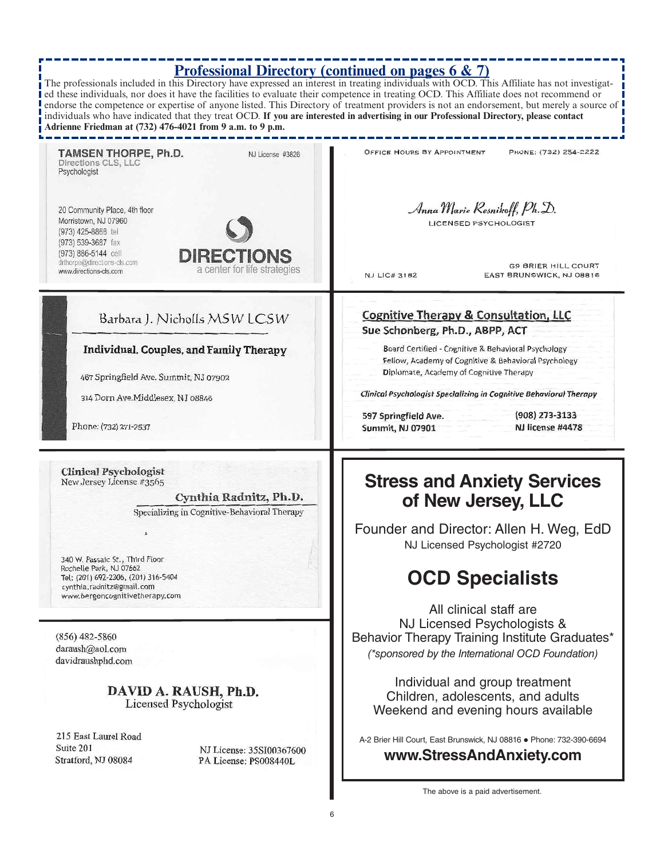# **Professional Directory (continued on pages 6 & 7)**

The professionals included in this Directory have expressed an interest in treating individuals with OCD. This Affiliate has not investigatled these individuals, nor does it have the facilities to evaluate their competence in treating OCD. This Affiliate does not recommend or endorse the competence or expertise of anyone listed. This Directory of treatment providers is not an endorsement, but merely a source of individuals who have indicated that they treat OCD. **If you are interested in advertising in our Professional Directory, please contact Adrienne Friedman at (732) 476-4021 from 9 a.m. to 9 p.m.** J

| <b>TAMSEN THORPE, Ph.D.</b><br>NJ License #3826<br>Directions CLS, LLC<br>Psychologist                                                                                               | OFFICE HOURS BY APPOINTMENT<br>PHONE: (732) 254-2222                                                                                                        |  |
|--------------------------------------------------------------------------------------------------------------------------------------------------------------------------------------|-------------------------------------------------------------------------------------------------------------------------------------------------------------|--|
| 20 Community Place, 4th floor<br>Morristown, NJ 07960<br>(973) 425-8868 tel<br>(973) 539-3687 fax<br>(973) 886-5144 cell<br><b>DIRECTIONS</b>                                        | Anna Marie Resnikoff, Ph. D.<br><b>LICENSED PSYCHOLOGIST</b>                                                                                                |  |
| drthorpe@directions-cls.com<br>a center for life strategies<br>www.directions-cls.com                                                                                                | <b>G9 BRIER HILL COURT</b><br><b>NJ LIC# 3182</b><br>EAST BRUNSWICK, NJ 08816                                                                               |  |
| Barbara J. Nicholls MSW LCSW                                                                                                                                                         | <b>Cognitive Therapy &amp; Consultation, LLC</b>                                                                                                            |  |
|                                                                                                                                                                                      | Sue Schonberg, Ph.D., ABPP, ACT                                                                                                                             |  |
| Individual, Couples, and Family Therapy                                                                                                                                              | Board Certified - Cognitive & Behavioral Psychology<br>Fellow, Academy of Cognitive & Behavioral Psychology                                                 |  |
| 467 Springfield Ave. Summit, NJ 07902                                                                                                                                                | Diplomate, Academy of Cognitive Therapy                                                                                                                     |  |
| 314 Dorn Ave.Middlesex, NJ 08846                                                                                                                                                     | <b>Clinical Psychologist Specializing in Cognitive Behavioral Therapy</b>                                                                                   |  |
|                                                                                                                                                                                      | (908) 273-3133<br>597 Springfield Ave.                                                                                                                      |  |
| Phone: (732) 271-2537                                                                                                                                                                | NJ license #4478<br>Summit, NJ 07901                                                                                                                        |  |
| Specializing in Cognitive-Behavioral Therapy<br>A.<br>340 W. Passaic St., Third Floor<br>Rochelle Park, NJ 07662<br>Tel: (201) 692-2306, (201) 316-5404<br>cynthia.radnitz@gmail.com | of New Jersey, LLC<br>Founder and Director: Allen H. Weg, EdD<br>NJ Licensed Psychologist #2720<br><b>OCD Specialists</b>                                   |  |
| www.bergencognitivetherapy.com                                                                                                                                                       |                                                                                                                                                             |  |
| $(856)$ 482-5860<br>daraush@aol.com<br>davidraushphd.com                                                                                                                             | All clinical staff are<br>NJ Licensed Psychologists &<br>Behavior Therapy Training Institute Graduates*<br>(*sponsored by the International OCD Foundation) |  |
| DAVID A. RAUSH, Ph.D.<br>Licensed Psychologist                                                                                                                                       | Individual and group treatment<br>Children, adolescents, and adults<br>Weekend and evening hours available                                                  |  |
| 215 East Laurel Road<br>Suite 201<br>NJ License: 35SI00367600<br>Stratford, NJ 08084<br>PA License: PS008440L                                                                        | A-2 Brier Hill Court, East Brunswick, NJ 08816 . Phone: 732-390-6694<br>www.StressAndAnxiety.com                                                            |  |
|                                                                                                                                                                                      | The above is a paid advertisement.                                                                                                                          |  |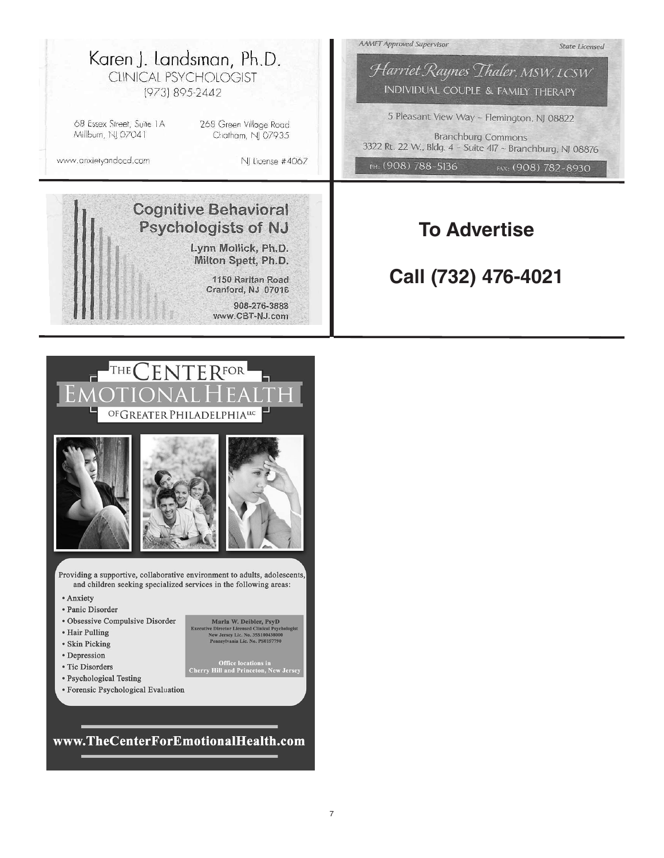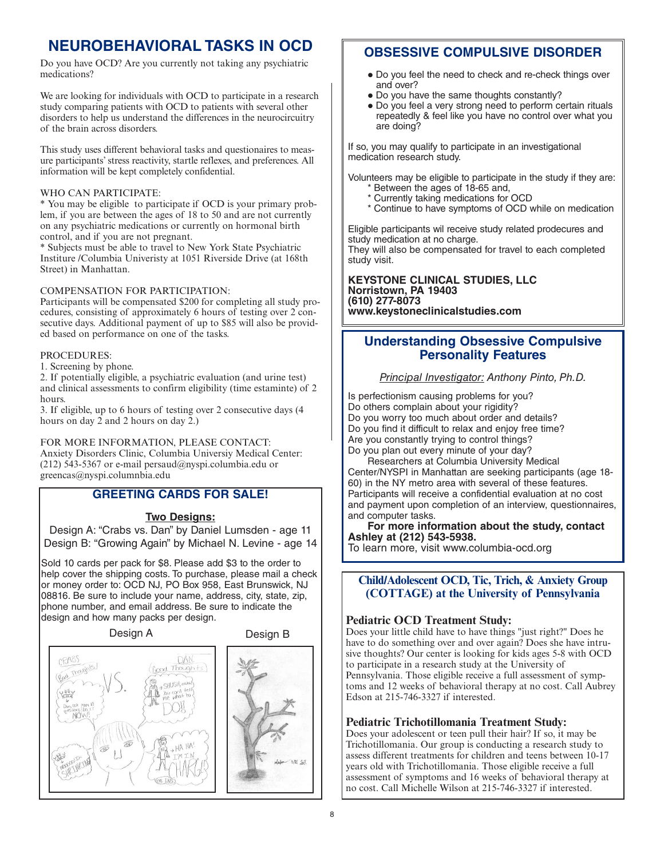# **NEUROBEHAVIORAL TASKS IN OCD**

Do you have OCD? Are you currently not taking any psychiatric medications?

We are looking for individuals with OCD to participate in a research study comparing patients with OCD to patients with several other disorders to help us understand the differences in the neurocircuitry of the brain across disorders.

This study uses different behavioral tasks and questionaires to measure participants' stress reactivity, startle reflexes, and preferences. All information will be kept completely confidential.

#### WHO CAN PARTICIPATE:

\* You may be eligible to participate if OCD is your primary problem, if you are between the ages of 18 to 50 and are not currently on any psychiatric medications or currently on hormonal birth control, and if you are not pregnant.

\* Subjects must be able to travel to New York State Psychiatric Institure /Columbia Univeristy at 1051 Riverside Drive (at 168th Street) in Manhattan.

#### COMPENSATION FOR PARTICIPATION:

Participants will be compensated \$200 for completing all study procedures, consisting of approximately 6 hours of testing over 2 consecutive days. Additional payment of up to \$85 will also be provided based on performance on one of the tasks.

#### PROCEDURES:

1. Screening by phone.

2. If potentially eligible, a psychiatric evaluation (and urine test) and clinical assessments to confirm eligibility (time estaminte) of 2 hours.

3. If eligible, up to 6 hours of testing over 2 consecutive days (4 hours on day 2 and 2 hours on day 2.)

FOR MORE INFORMATION, PLEASE CONTACT:

Anxiety Disorders Clinic, Columbia Universiy Medical Center: (212) 543-5367 or e-mail persaud@nyspi.columbia.edu or greencas@nyspi.columnbia.edu

#### **GREETING CARDS FOR SALE!**

#### **Two Designs:**

Design A: "Crabs vs. Dan" by Daniel Lumsden - age 11 Design B: "Growing Again" by Michael N. Levine - age 14

Sold 10 cards per pack for \$8. Please add \$3 to the order to help cover the shipping costs. To purchase, please mail a check or money order to: OCD NJ, PO Box 958, East Brunswick, NJ 08816. Be sure to include your name, address, city, state, zip, phone number, and email address. Be sure to indicate the design and how many packs per design.



## **OBSESSIVE COMPULSIVE DISORDER**

- Do you feel the need to check and re-check things over and over?
- Do you have the same thoughts constantly?
- Do you feel a very strong need to perform certain rituals repeatedly & feel like you have no control over what you are doing?

If so, you may qualify to participate in an investigational medication research study.

Volunteers may be eligible to participate in the study if they are:

- \* Between the ages of 18-65 and, \* Currently taking medications for OCD
- \* Continue to have symptoms of OCD while on medication

Eligible participants wil receive study related prodecures and study medication at no charge. They will also be compensated for travel to each completed

study visit.

**KEYSTONE CLINICAL STUDIES, LLC Norristown, PA 19403 (610) 277-8073 www.keystoneclinicalstudies.com**

## **Understanding Obsessive Compulsive Personality Features**

*Principal Investigator: Anthony Pinto, Ph.D.*

Is perfectionism causing problems for you? Do others complain about your rigidity? Do you worry too much about order and details? Do you find it difficult to relax and enjoy free time? Are you constantly trying to control things? Do you plan out every minute of your day?

Researchers at Columbia University Medical Center/NYSPI in Manhattan are seeking participants (age 18- 60) in the NY metro area with several of these features. Participants will receive a confidential evaluation at no cost and payment upon completion of an interview, questionnaires, and computer tasks.

**For more information about the study, contact Ashley at (212) 543-5938.**

To learn more, visit www.columbia-ocd.org

**Child/Adolescent OCD, Tic, Trich, & Anxiety Group (COTTAGE) at the University of Pennsylvania**

#### **Pediatric OCD Treatment Study:**

Does your little child have to have things "just right?" Does he have to do something over and over again? Does she have intrusive thoughts? Our center is looking for kids ages 5-8 with OCD to participate in a research study at the University of Pennsylvania. Those eligible receive a full assessment of symptoms and 12 weeks of behavioral therapy at no cost. Call Aubrey Edson at 215-746-3327 if interested.

#### **Pediatric Trichotillomania Treatment Study:**

Does your adolescent or teen pull their hair? If so, it may be Trichotillomania. Our group is conducting a research study to assess different treatments for children and teens between 10-17 years old with Trichotillomania. Those eligible receive a full assessment of symptoms and 16 weeks of behavioral therapy at no cost. Call Michelle Wilson at 215-746-3327 if interested.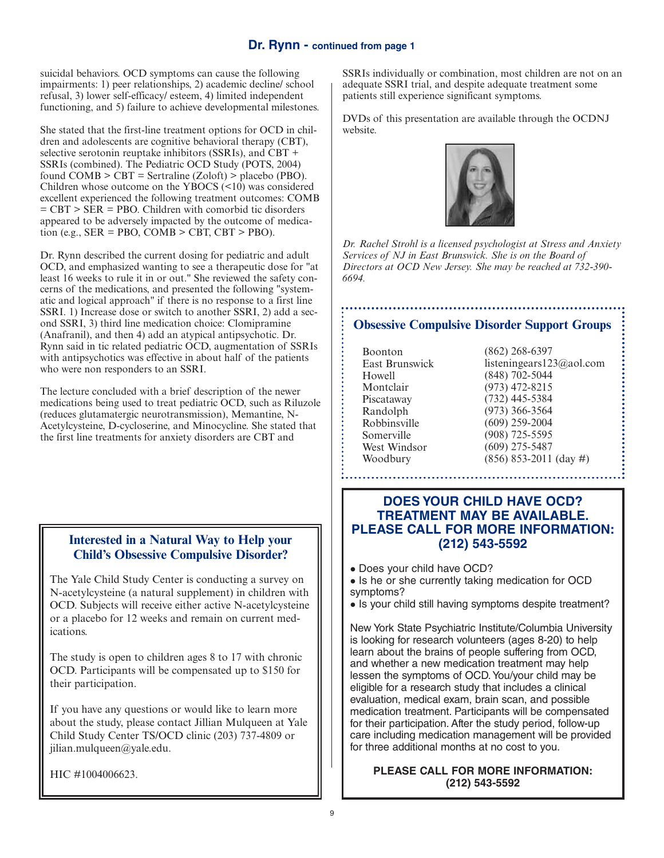#### **Dr. Rynn - continued from page 1**

suicidal behaviors. OCD symptoms can cause the following impairments: 1) peer relationships, 2) academic decline/ school refusal, 3) lower self-efficacy/ esteem, 4) limited independent functioning, and 5) failure to achieve developmental milestones.

She stated that the first-line treatment options for OCD in children and adolescents are cognitive behavioral therapy (CBT), selective serotonin reuptake inhibitors (SSRIs), and CBT + SSRIs (combined). The Pediatric OCD Study (POTS, 2004) found  $COMB > CBT = Sertraline (Zoloft) > placebo (PBO).$ Children whose outcome on the YBOCS  $(\leq 10)$  was considered excellent experienced the following treatment outcomes: COMB = CBT > SER = PBO. Children with comorbid tic disorders appeared to be adversely impacted by the outcome of medica- $\overrightarrow{\text{tion}}$  (e.g., SER = PBO, COMB > CBT, CBT > PBO).

Dr. Rynn described the current dosing for pediatric and adult OCD, and emphasized wanting to see a therapeutic dose for "at least 16 weeks to rule it in or out." She reviewed the safety concerns of the medications, and presented the following "systematic and logical approach" if there is no response to a first line SSRI. 1) Increase dose or switch to another SSRI, 2) add a second SSRI, 3) third line medication choice: Clomipramine (Anafranil), and then 4) add an atypical antipsychotic. Dr. Rynn said in tic related pediatric OCD, augmentation of SSRIs with antipsychotics was effective in about half of the patients who were non responders to an SSRI.

The lecture concluded with a brief description of the newer medications being used to treat pediatric OCD, such as Riluzole (reduces glutamatergic neurotransmission), Memantine, N-Acetylcysteine, D-cycloserine, and Minocycline. She stated that the first line treatments for anxiety disorders are CBT and

#### **Interested in a Natural Way to Help your Child's Obsessive Compulsive Disorder?**

The Yale Child Study Center is conducting a survey on N-acetylcysteine (a natural supplement) in children with OCD. Subjects will receive either active N-acetylcysteine or a placebo for 12 weeks and remain on current medications.

The study is open to children ages 8 to 17 with chronic OCD. Participants will be compensated up to \$150 for their participation.

If you have any questions or would like to learn more about the study, please contact Jillian Mulqueen at Yale Child Study Center TS/OCD clinic (203) 737-4809 or jilian.mulqueen@yale.edu.

HIC #1004006623.

SSRIs individually or combination, most children are not on an adequate SSRI trial, and despite adequate treatment some patients still experience significant symptoms.

DVDs of this presentation are available through the OCDNJ website.



*Dr. Rachel Strohl is a licensed psychologist at Stress and Anxiety Services of NJ in East Brunswick. She is on the Board of Directors at OCD New Jersey. She may be reached at 732-390- 6694.*

## **Obsessive Compulsive Disorder Support Groups**

Boonton East Brunswick Howell Montclair Piscataway Randolph Robbinsville Somerville West Windsor Woodbury

(862) 268-6397 listeningears123@aol.com (848) 702-5044 (973) 472-8215 (732) 445-5384 (973) 366-3564 (609) 259-2004 (908) 725-5595 (609) 275-5487 (856) 853-2011 (day #)

#### **DOES YOUR CHILD HAVE OCD? TREATMENT MAY BE AVAILABLE. PLEASE CALL FOR MORE INFORMATION: (212) 543-5592**

- Does your child have OCD?
- Is he or she currently taking medication for OCD symptoms?
- Is your child still having symptoms despite treatment?

New York State Psychiatric Institute/Columbia University is looking for research volunteers (ages 8-20) to help learn about the brains of people suffering from OCD, and whether a new medication treatment may help lessen the symptoms of OCD.You/your child may be eligible for a research study that includes a clinical evaluation, medical exam, brain scan, and possible medication treatment. Participants will be compensated for their participation. After the study period, follow-up care including medication management will be provided for three additional months at no cost to you.

#### **PLEASE CALL FOR MORE INFORMATION: (212) 543-5592**